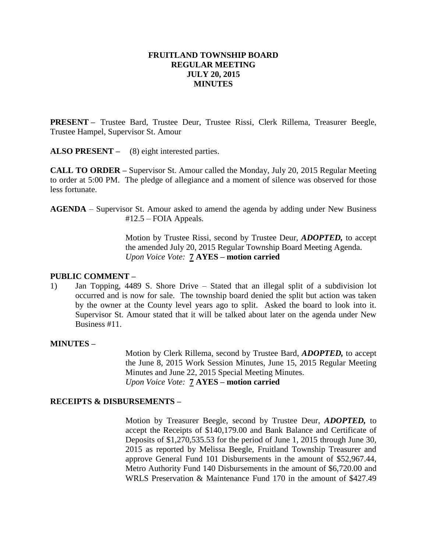### **FRUITLAND TOWNSHIP BOARD REGULAR MEETING JULY 20, 2015 MINUTES**

**PRESENT –** Trustee Bard, Trustee Deur, Trustee Rissi, Clerk Rillema, Treasurer Beegle, Trustee Hampel, Supervisor St. Amour

**ALSO PRESENT –** (8) eight interested parties.

**CALL TO ORDER –** Supervisor St. Amour called the Monday, July 20, 2015 Regular Meeting to order at 5:00 PM. The pledge of allegiance and a moment of silence was observed for those less fortunate.

**AGENDA** – Supervisor St. Amour asked to amend the agenda by adding under New Business #12.5 – FOIA Appeals.

> Motion by Trustee Rissi, second by Trustee Deur, *ADOPTED,* to accept the amended July 20, 2015 Regular Township Board Meeting Agenda. *Upon Voice Vote:* **7 AYES – motion carried**

#### **PUBLIC COMMENT –**

1) Jan Topping, 4489 S. Shore Drive – Stated that an illegal split of a subdivision lot occurred and is now for sale. The township board denied the split but action was taken by the owner at the County level years ago to split. Asked the board to look into it. Supervisor St. Amour stated that it will be talked about later on the agenda under New Business #11.

#### **MINUTES –**

Motion by Clerk Rillema, second by Trustee Bard, *ADOPTED,* to accept the June 8, 2015 Work Session Minutes, June 15, 2015 Regular Meeting Minutes and June 22, 2015 Special Meeting Minutes. *Upon Voice Vote:* **7 AYES – motion carried**

#### **RECEIPTS & DISBURSEMENTS –**

Motion by Treasurer Beegle, second by Trustee Deur, *ADOPTED,* to accept the Receipts of \$140,179.00 and Bank Balance and Certificate of Deposits of \$1,270,535.53 for the period of June 1, 2015 through June 30, 2015 as reported by Melissa Beegle, Fruitland Township Treasurer and approve General Fund 101 Disbursements in the amount of \$52,967.44, Metro Authority Fund 140 Disbursements in the amount of \$6,720.00 and WRLS Preservation & Maintenance Fund 170 in the amount of \$427.49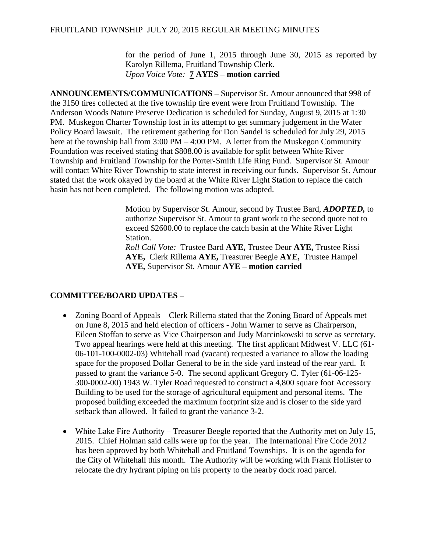#### FRUITLAND TOWNSHIP JULY 20, 2015 REGULAR MEETING MINUTES

for the period of June 1, 2015 through June 30, 2015 as reported by Karolyn Rillema, Fruitland Township Clerk. *Upon Voice Vote:* **7 AYES – motion carried**

**ANNOUNCEMENTS/COMMUNICATIONS –** Supervisor St. Amour announced that 998 of the 3150 tires collected at the five township tire event were from Fruitland Township. The Anderson Woods Nature Preserve Dedication is scheduled for Sunday, August 9, 2015 at 1:30 PM. Muskegon Charter Township lost in its attempt to get summary judgement in the Water Policy Board lawsuit. The retirement gathering for Don Sandel is scheduled for July 29, 2015 here at the township hall from 3:00 PM – 4:00 PM. A letter from the Muskegon Community Foundation was received stating that \$808.00 is available for split between White River Township and Fruitland Township for the Porter-Smith Life Ring Fund. Supervisor St. Amour will contact White River Township to state interest in receiving our funds. Supervisor St. Amour stated that the work okayed by the board at the White River Light Station to replace the catch basin has not been completed. The following motion was adopted.

> Motion by Supervisor St. Amour, second by Trustee Bard, *ADOPTED,* to authorize Supervisor St. Amour to grant work to the second quote not to exceed \$2600.00 to replace the catch basin at the White River Light Station.

*Roll Call Vote:* Trustee Bard **AYE,** Trustee Deur **AYE,** Trustee Rissi **AYE,** Clerk Rillema **AYE,** Treasurer Beegle **AYE,** Trustee Hampel **AYE,** Supervisor St. Amour **AYE – motion carried**

# **COMMITTEE/BOARD UPDATES –**

- Zoning Board of Appeals Clerk Rillema stated that the Zoning Board of Appeals met on June 8, 2015 and held election of officers - John Warner to serve as Chairperson, Eileen Stoffan to serve as Vice Chairperson and Judy Marcinkowski to serve as secretary. Two appeal hearings were held at this meeting. The first applicant Midwest V. LLC (61- 06-101-100-0002-03) Whitehall road (vacant) requested a variance to allow the loading space for the proposed Dollar General to be in the side yard instead of the rear yard. It passed to grant the variance 5-0. The second applicant Gregory C. Tyler (61-06-125- 300-0002-00) 1943 W. Tyler Road requested to construct a 4,800 square foot Accessory Building to be used for the storage of agricultural equipment and personal items. The proposed building exceeded the maximum footprint size and is closer to the side yard setback than allowed. It failed to grant the variance 3-2.
- White Lake Fire Authority Treasurer Beegle reported that the Authority met on July 15, 2015. Chief Holman said calls were up for the year. The International Fire Code 2012 has been approved by both Whitehall and Fruitland Townships. It is on the agenda for the City of Whitehall this month. The Authority will be working with Frank Hollister to relocate the dry hydrant piping on his property to the nearby dock road parcel.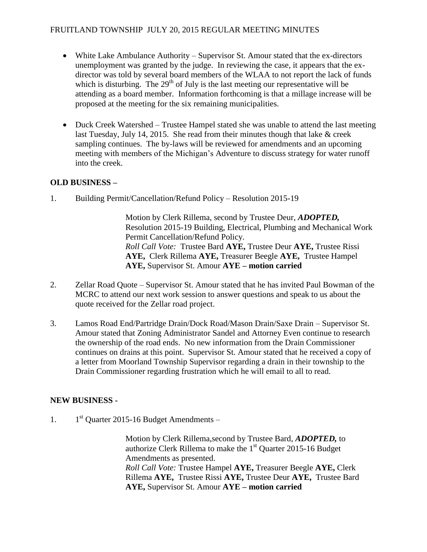- White Lake Ambulance Authority Supervisor St. Amour stated that the ex-directors unemployment was granted by the judge. In reviewing the case, it appears that the exdirector was told by several board members of the WLAA to not report the lack of funds which is disturbing. The  $29<sup>th</sup>$  of July is the last meeting our representative will be attending as a board member. Information forthcoming is that a millage increase will be proposed at the meeting for the six remaining municipalities.
- Duck Creek Watershed Trustee Hampel stated she was unable to attend the last meeting last Tuesday, July 14, 2015. She read from their minutes though that lake & creek sampling continues. The by-laws will be reviewed for amendments and an upcoming meeting with members of the Michigan's Adventure to discuss strategy for water runoff into the creek.

# **OLD BUSINESS –**

1. Building Permit/Cancellation/Refund Policy – Resolution 2015-19

Motion by Clerk Rillema, second by Trustee Deur, *ADOPTED,*  Resolution 2015-19 Building, Electrical, Plumbing and Mechanical Work Permit Cancellation/Refund Policy. *Roll Call Vote:* Trustee Bard **AYE,** Trustee Deur **AYE,** Trustee Rissi **AYE,** Clerk Rillema **AYE,** Treasurer Beegle **AYE,** Trustee Hampel **AYE,** Supervisor St. Amour **AYE – motion carried**

- 2. Zellar Road Quote Supervisor St. Amour stated that he has invited Paul Bowman of the MCRC to attend our next work session to answer questions and speak to us about the quote received for the Zellar road project.
- 3. Lamos Road End/Partridge Drain/Dock Road/Mason Drain/Saxe Drain Supervisor St. Amour stated that Zoning Administrator Sandel and Attorney Even continue to research the ownership of the road ends. No new information from the Drain Commissioner continues on drains at this point. Supervisor St. Amour stated that he received a copy of a letter from Moorland Township Supervisor regarding a drain in their township to the Drain Commissioner regarding frustration which he will email to all to read.

# **NEW BUSINESS -**

1. 1  $1<sup>st</sup>$  Quarter 2015-16 Budget Amendments –

> Motion by Clerk Rillema,second by Trustee Bard, *ADOPTED,* to authorize Clerk Rillema to make the  $1<sup>st</sup>$  Quarter 2015-16 Budget Amendments as presented. *Roll Call Vote:* Trustee Hampel **AYE,** Treasurer Beegle **AYE,** Clerk Rillema **AYE,** Trustee Rissi **AYE,** Trustee Deur **AYE,** Trustee Bard **AYE,** Supervisor St. Amour **AYE – motion carried**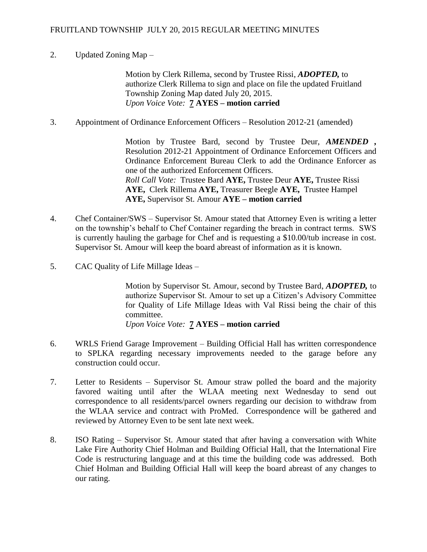# 2. Updated Zoning Map –

Motion by Clerk Rillema, second by Trustee Rissi, *ADOPTED,* to authorize Clerk Rillema to sign and place on file the updated Fruitland Township Zoning Map dated July 20, 2015. *Upon Voice Vote:* **7 AYES – motion carried**

3. Appointment of Ordinance Enforcement Officers – Resolution 2012-21 (amended)

Motion by Trustee Bard, second by Trustee Deur, *AMENDED ,*  Resolution 2012-21 Appointment of Ordinance Enforcement Officers and Ordinance Enforcement Bureau Clerk to add the Ordinance Enforcer as one of the authorized Enforcement Officers. *Roll Call Vote:* Trustee Bard **AYE,** Trustee Deur **AYE,** Trustee Rissi **AYE,** Clerk Rillema **AYE,** Treasurer Beegle **AYE,** Trustee Hampel **AYE,** Supervisor St. Amour **AYE – motion carried**

- 4. Chef Container/SWS Supervisor St. Amour stated that Attorney Even is writing a letter on the township's behalf to Chef Container regarding the breach in contract terms. SWS is currently hauling the garbage for Chef and is requesting a \$10.00/tub increase in cost. Supervisor St. Amour will keep the board abreast of information as it is known.
- 5. CAC Quality of Life Millage Ideas –

Motion by Supervisor St. Amour, second by Trustee Bard, *ADOPTED,* to authorize Supervisor St. Amour to set up a Citizen's Advisory Committee for Quality of Life Millage Ideas with Val Rissi being the chair of this committee.

*Upon Voice Vote:* **7 AYES – motion carried**

- 6. WRLS Friend Garage Improvement Building Official Hall has written correspondence to SPLKA regarding necessary improvements needed to the garage before any construction could occur.
- 7. Letter to Residents Supervisor St. Amour straw polled the board and the majority favored waiting until after the WLAA meeting next Wednesday to send out correspondence to all residents/parcel owners regarding our decision to withdraw from the WLAA service and contract with ProMed. Correspondence will be gathered and reviewed by Attorney Even to be sent late next week.
- 8. ISO Rating Supervisor St. Amour stated that after having a conversation with White Lake Fire Authority Chief Holman and Building Official Hall, that the International Fire Code is restructuring language and at this time the building code was addressed. Both Chief Holman and Building Official Hall will keep the board abreast of any changes to our rating.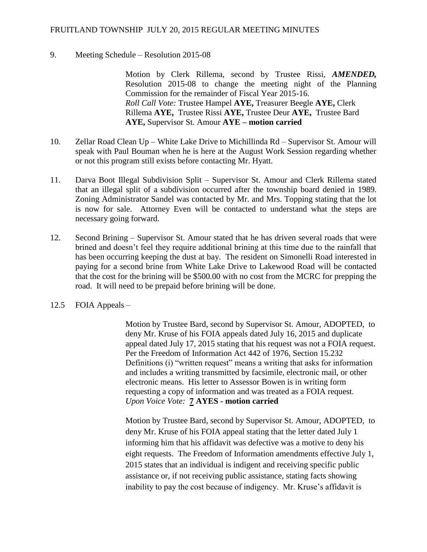### FRUITLAND TOWNSHIP JULY 20, 2015 REGULAR MEETING MINUTES

#### 9. Meeting Schedule – Resolution 2015-08

Motion by Clerk Rillema, second by Trustee Rissi, *AMENDED,*  Resolution 2015-08 to change the meeting night of the Planning Commission for the remainder of Fiscal Year 2015-16. *Roll Call Vote:* Trustee Hampel **AYE,** Treasurer Beegle **AYE,** Clerk Rillema **AYE,** Trustee Rissi **AYE,** Trustee Deur **AYE,** Trustee Bard **AYE,** Supervisor St. Amour **AYE – motion carried**

- 10. Zellar Road Clean Up White Lake Drive to Michillinda Rd Supervisor St. Amour will speak with Paul Bouman when he is here at the August Work Session regarding whether or not this program still exists before contacting Mr. Hyatt.
- 11. Darva Boot Illegal Subdivision Split Supervisor St. Amour and Clerk Rillema stated that an illegal split of a subdivision occurred after the township board denied in 1989. Zoning Administrator Sandel was contacted by Mr. and Mrs. Topping stating that the lot is now for sale. Attorney Even will be contacted to understand what the steps are necessary going forward.
- 12. Second Brining Supervisor St. Amour stated that he has driven several roads that were brined and doesn't feel they require additional brining at this time due to the rainfall that has been occurring keeping the dust at bay. The resident on Simonelli Road interested in paying for a second brine from White Lake Drive to Lakewood Road will be contacted that the cost for the brining will be \$500.00 with no cost from the MCRC for prepping the road. It will need to be prepaid before brining will be done.
- 12.5 FOIA Appeals –

Motion by Trustee Bard, second by Supervisor St. Amour, ADOPTED, to deny Mr. Kruse of his FOIA appeals dated July 16, 2015 and duplicate appeal dated July 17, 2015 stating that his request was not a FOIA request. Per the Freedom of Information Act 442 of 1976, Section 15.232 Definitions (i) "written request" means a writing that asks for information and includes a writing transmitted by facsimile, electronic mail, or other electronic means. His letter to Assessor Bowen is in writing form requesting a copy of information and was treated as a FOIA request. *Upon Voice Vote:* **7 AYES - motion carried**

Motion by Trustee Bard, second by Supervisor St. Amour, ADOPTED, to deny Mr. Kruse of his FOIA appeal stating that the letter dated July 1 informing him that his affidavit was defective was a motive to deny his eight requests. The Freedom of Information amendments effective July 1, 2015 states that an individual is indigent and receiving specific public assistance or, if not receiving public assistance, stating facts showing inability to pay the cost because of indigency. Mr. Kruse's affidavit is